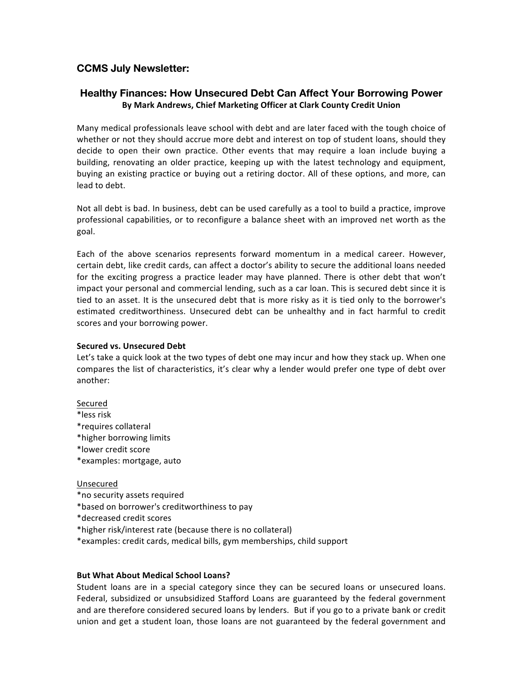# **CCMS July Newsletter:**

## **Healthy Finances: How Unsecured Debt Can Affect Your Borrowing Power By Mark Andrews, Chief Marketing Officer at Clark County Credit Union**

Many medical professionals leave school with debt and are later faced with the tough choice of whether or not they should accrue more debt and interest on top of student loans, should they decide to open their own practice. Other events that may require a loan include buying a building, renovating an older practice, keeping up with the latest technology and equipment, buying an existing practice or buying out a retiring doctor. All of these options, and more, can lead to debt.

Not all debt is bad. In business, debt can be used carefully as a tool to build a practice, improve professional capabilities, or to reconfigure a balance sheet with an improved net worth as the goal.

Each of the above scenarios represents forward momentum in a medical career. However, certain debt, like credit cards, can affect a doctor's ability to secure the additional loans needed for the exciting progress a practice leader may have planned. There is other debt that won't impact your personal and commercial lending, such as a car loan. This is secured debt since it is tied to an asset. It is the unsecured debt that is more risky as it is tied only to the borrower's estimated creditworthiness. Unsecured debt can be unhealthy and in fact harmful to credit scores and your borrowing power.

## **Secured vs. Unsecured Debt**

Let's take a quick look at the two types of debt one may incur and how they stack up. When one compares the list of characteristics, it's clear why a lender would prefer one type of debt over another:

## Secured

- \*less risk
- \*requires collateral
- \*higher borrowing limits
- \*lower credit score
- \*examples: mortgage, auto

#### Unsecured

- \*no security assets required
- \*based on borrower's creditworthiness to pay
- \*decreased credit scores
- \*higher risk/interest rate (because there is no collateral)
- \*examples: credit cards, medical bills, gym memberships, child support

## **But What About Medical School Loans?**

Student loans are in a special category since they can be secured loans or unsecured loans. Federal, subsidized or unsubsidized Stafford Loans are guaranteed by the federal government and are therefore considered secured loans by lenders. But if you go to a private bank or credit union and get a student loan, those loans are not guaranteed by the federal government and